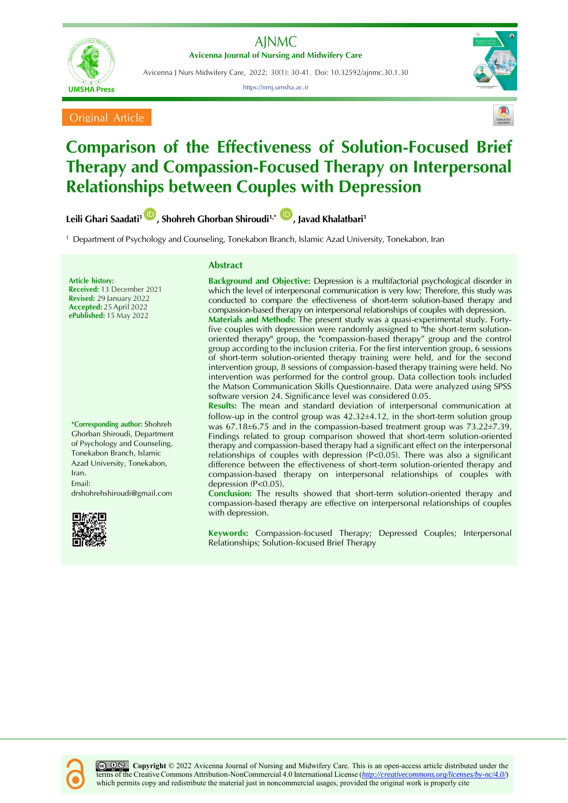

Avicenna J Nurs Midwifery Care, 2022; 30(1): 30-41. Doi: 10.32592/ajnmc.30.1.30

https://nmj.umsha.ac.ir



Original Article



# **Comparison of the Effectiveness of Solution-Focused Brief Therapy and Compassion-Focused Therapy on Interpersonal Relationships between Couples with Depression**

**Leili Ghari Saadati[1](https://orcid.org/0000-0001-3265-7589) , Shohreh Ghorban Shiroudi1,\* , Javad Khalatbari<sup>1</sup>**

<sup>1</sup> Department of Psychology and Counseling, Tonekabon Branch, Islamic Azad University, Tonekabon, Iran

**Article history: Received:** 13 December 2021 **Revised:** 29 January 2022 **Accepted:** 25April 2022 **ePublished:** 15 May 2022

**\*Corresponding author:** Shohreh Ghorban Shiroudi, Department of Psychology and Counseling, Tonekabon Branch, Islamic Azad University, Tonekabon, Iran. Email: [drshohrehshiroudi@gmail.com](mailto:drshohrehshiroudi@gmail.com)



# **Abstract**

**Background and Objective:** Depression is a multifactorial psychological disorder in which the level of interpersonal communication is very low; Therefore, this study was conducted to compare the effectiveness of short-term solution-based therapy and compassion-based therapy on interpersonal relationships of couples with depression. **Materials and Methods:** The present study was a quasi-experimental study. Fortyfive couples with depression were randomly assigned to "the short-term solutionoriented therapy" group, the "compassion-based therapy" group and the control group according to the inclusion criteria. For the first intervention group, 6 sessions of short-term solution-oriented therapy training were held, and for the second intervention group, 8 sessions of compassion-based therapy training were held. No intervention was performed for the control group. Data collection tools included the Matson Communication Skills Questionnaire. Data were analyzed using SPSS software version 24. Significance level was considered 0.05.

**Results:** The mean and standard deviation of interpersonal communication at follow-up in the control group was  $42.32\pm4.12$ , in the short-term solution group was  $67.18\pm6.75$  and in the compassion-based treatment group was  $73.22\pm7.39$ . Findings related to group comparison showed that short-term solution-oriented therapy and compassion-based therapy had a significant effect on the interpersonal relationships of couples with depression  $(P< 0.05)$ . There was also a significant difference between the effectiveness of short-term solution-oriented therapy and compassion-based therapy on interpersonal relationships of couples with depression (P<0.05).

**Conclusion:** The results showed that short-term solution-oriented therapy and compassion-based therapy are effective on interpersonal relationships of couples with depression.

**Keywords:** Compassion-focused Therapy; Depressed Couples; Interpersonal Relationships; Solution-focused Brief Therapy

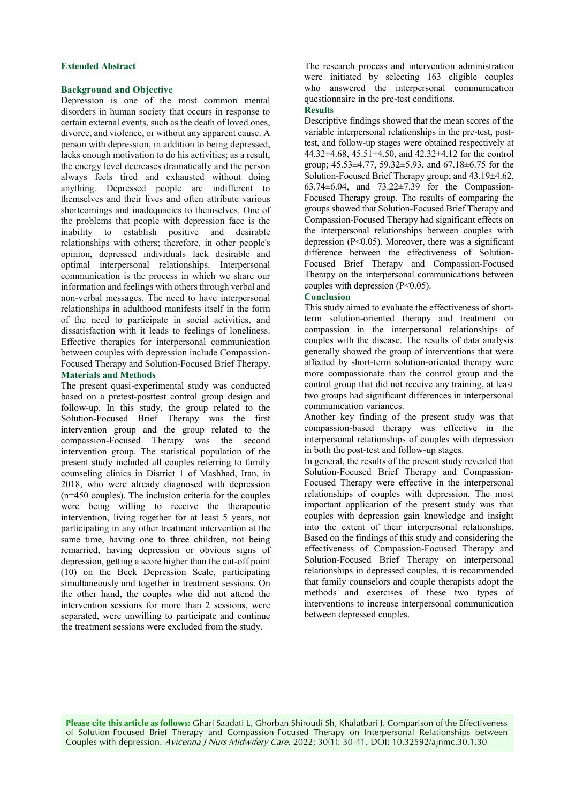#### **Extended Abstract**

#### **Background and Objective**

Depression is one of the most common mental disorders in human society that occurs in response to certain external events, such as the death of loved ones, divorce, and violence, or without any apparent cause. A person with depression, in addition to being depressed, lacks enough motivation to do his activities; as a result, the energy level decreases dramatically and the person always feels tired and exhausted without doing anything. Depressed people are indifferent to themselves and their lives and often attribute various shortcomings and inadequacies to themselves. One of the problems that people with depression face is the inability to establish positive and desirable relationships with others; therefore, in other people's opinion, depressed individuals lack desirable and optimal interpersonal relationships. Interpersonal communication is the process in which we share our information and feelings with others through verbal and non-verbal messages. The need to have interpersonal relationships in adulthood manifests itself in the form of the need to participate in social activities, and dissatisfaction with it leads to feelings of loneliness. Effective therapies for interpersonal communication between couples with depression include Compassion-Focused Therapy and Solution-Focused Brief Therapy. **Materials and Methods** 

The present quasi-experimental study was conducted based on a pretest-posttest control group design and follow-up. In this study, the group related to the Solution-Focused Brief Therapy was the first intervention group and the group related to the compassion-Focused Therapy was the second intervention group. The statistical population of the present study included all couples referring to family counseling clinics in District 1 of Mashhad, Iran, in 2018, who were already diagnosed with depression (n=450 couples). The inclusion criteria for the couples were being willing to receive the therapeutic intervention, living together for at least 5 years, not participating in any other treatment intervention at the same time, having one to three children, not being remarried, having depression or obvious signs of depression, getting a score higher than the cut-off point (10) on the Beck Depression Scale, participating simultaneously and together in treatment sessions. On the other hand, the couples who did not attend the intervention sessions for more than 2 sessions, were separated, were unwilling to participate and continue the treatment sessions were excluded from the study.

The research process and intervention administration were initiated by selecting 163 eligible couples who answered the interpersonal communication questionnaire in the pre-test conditions.

#### **Results**

Descriptive findings showed that the mean scores of the variable interpersonal relationships in the pre-test, posttest, and follow-up stages were obtained respectively at 44.32±4.68, 45.51±4.50, and 42.32±4.12 for the control group;  $45.53 \pm 4.77$ ,  $59.32 \pm 5.93$ , and  $67.18 \pm 6.75$  for the Solution-Focused Brief Therapy group; and 43.19±4.62, 63.74±6.04, and 73.22±7.39 for the Compassion-Focused Therapy group. The results of comparing the groups showed that Solution-Focused Brief Therapy and Compassion-Focused Therapy had significant effects on the interpersonal relationships between couples with depression (P<0.05). Moreover, there was a significant difference between the effectiveness of Solution-Focused Brief Therapy and Compassion-Focused Therapy on the interpersonal communications between couples with depression (P<0.05).

### **Conclusion**

This study aimed to evaluate the effectiveness of shortterm solution-oriented therapy and treatment on compassion in the interpersonal relationships of couples with the disease. The results of data analysis generally showed the group of interventions that were affected by short-term solution-oriented therapy were more compassionate than the control group and the control group that did not receive any training, at least two groups had significant differences in interpersonal communication variances.

Another key finding of the present study was that compassion-based therapy was effective in the interpersonal relationships of couples with depression in both the post-test and follow-up stages.

In general, the results of the present study revealed that Solution-Focused Brief Therapy and Compassion-Focused Therapy were effective in the interpersonal relationships of couples with depression. The most important application of the present study was that couples with depression gain knowledge and insight into the extent of their interpersonal relationships. Based on the findings of this study and considering the effectiveness of Compassion-Focused Therapy and Solution-Focused Brief Therapy on interpersonal relationships in depressed couples, it is recommended that family counselors and couple therapists adopt the methods and exercises of these two types of interventions to increase interpersonal communication between depressed couples.

**Please cite this article as follows:** Ghari Saadati L, Ghorban Shiroudi Sh, Khalatbari J. Comparison of the Effectiveness of Solution-Focused Brief Therapy and Compassion-Focused Therapy on Interpersonal Relationships between Couples with depression. Avicenna J Nurs Midwifery Care. 2022; 30(1): 30-41. DOI: 10.32592/ajnmc.30.1.30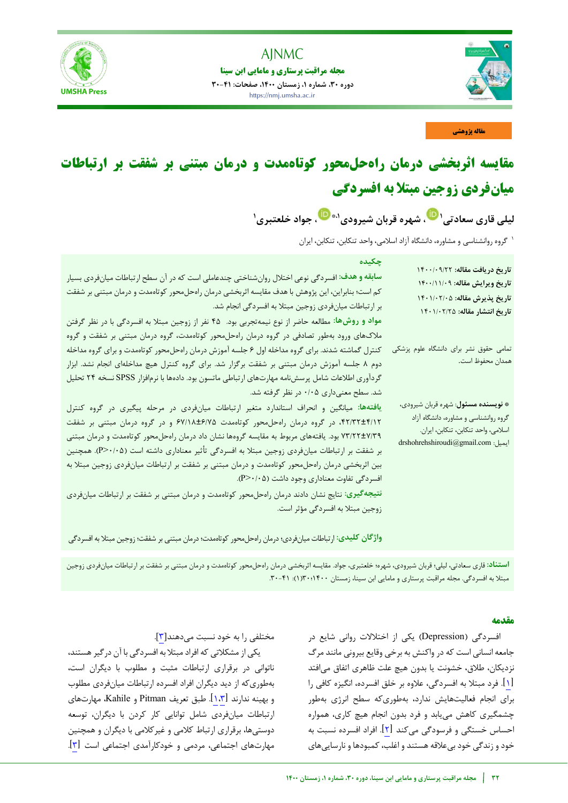



**مجله مراقبت پرستاری و مامایی ابن سینا دوره ،30 شماره ،1 زمستان ،1400 صفحات: 30-41** https://nmj.umsha.ac.ir



**مقاله پژوهشی**

# **راهدرمان یاثربخش هسیمقا حلمحور کوتاهمدت و درمان مبتنی بر شفقت ارتباطات بر میانفردی زوجین مبتلا به افسردگی**

**سعادتی یقار لیلی [،](https://orcid.org/0000-0001-3265-7589) شهره قربان شیرودی <sup>1</sup> [،](https://orcid.org/0000-0001-2154-7859) جواد خلعتبری ،1\* 1**

گروه روانشناسی و مشاوره، دانشگاه آزاد اسالمی، واحد تنکابن، تنکابن، ایران <sup>1</sup>

| چکیده<br>سابقه و هدف: افسردگی نوعی اختلال روانشناختی چندعاملی است که در آن سطح ارتباطات میانفردی بسیار<br>کم است؛ بنابراین، این پژوهش با هدف مقایسه اثربخشی درمان راهحلمحور کوتاهمدت و درمان مبتنی بر شفقت<br>بر ارتباطات میانفردی زوجین مبتلا به افسردگی انجام شد.<br>مواد و روشها: مطالعه حاضر از نوع نیمهتجربی بود.  ۴۵ نفر از زوجین مبتلا به افسردگی با در نظر گرفتن<br>ملاکهای ورود بهطور تصادفی در گروه درمان راهحلمحور کوتاهمدت، گروه درمان مبتنی بر شفقت و گروه                                                               | تاريخ دريافت مقاله: ١٤٠٠/٠٩/٢٢<br>تاريخ ويرايش مقاله: ١۴٠٠/١١/٠٩<br>تاريخ پذيرش مقاله: ١٤٠١/٠٢/٥<br>تاريخ انتشار مقاله: ١٤٠١/٠٢/٢٥                        |
|---------------------------------------------------------------------------------------------------------------------------------------------------------------------------------------------------------------------------------------------------------------------------------------------------------------------------------------------------------------------------------------------------------------------------------------------------------------------------------------------------------------------------------------|-----------------------------------------------------------------------------------------------------------------------------------------------------------|
| کنترل گماشته شدند. برای گروه مداخله اول ۶ جلسه آموزش درمان راهحلمحور کوتاهمدت و برای گروه مداخله<br>دوم ۸ جلسه آموزش درمان مبتنی بر شفقت برگزار شد. برای گروه کنترل هیچ مداخلهای انجام نشد. ابزار<br>گردآوری اطلاعات شامل پرسشنامه مهارتهای ارتباطی ماتسون بود. دادهها با نرمافزار SPSS نسخه ۲۴ تحلیل<br>شد. سطح معنیداری ۰/۰۵ در نظر گرفته شد.                                                                                                                                                                                       | تمامی حقوق نشر برای دانشگاه علوم پزشکی<br>همدان محفوظ است.                                                                                                |
| یافتهها: میانگین و انحراف استاندارد متغیر ارتباطات میانفردی در مرحله پیگیری در گروه کنترل<br>۴/۱۲+۴/۱۲، در گروه درمان راهحلمحور کوتاهمدت ۶۷/۱۸±۶/۷۵ و در گروه درمان مبتنی بر شفقت<br>۷۳/۲۲±۷/۳۹ بود. یافتههای مربوط به مقایسه گروهها نشان داد درمان راهحلمحور کوتاهمدت و درمان مبتنی<br>بر شفقت بر ارتباطات میانفردی زوجین مبتلا به افسردگی تأثیر معناداری داشته است (P>۰/۰۵). همچنین<br>بین اثربخشی درمان راهحلمحور کوتاهمدت و درمان مبتنی بر شفقت بر ارتباطات میانفردی زوجین مبتلا به<br>افسردگی تفاوت معناداری وجود داشت (P>٠/٠۵). | * نويسنده مسئول: شهره قربان شيرودي،<br>گروه روانشناسی و مشاوره، دانشگاه آزاد<br>اسلامی، واحد تنکابن، تنکابن، ایران.<br>drshohrehshiroudi@gmail.com :ایمیل |
| نتیجهگیری: نتایج نشان دادند درمان راهحلمحور کوتاهمدت و درمان مبتنی بر شفقت بر ارتباطات میانفردی<br>زوجین مبتلا به افسردگی مؤثر است.<br>واژگان کلیدی: ارتباطات میانفردی؛ درمان راهحلمحور کوتاهمدت؛ درمان مبتنی بر شفقت؛ زوجین مبتلا به افسردگی                                                                                                                                                                                                                                                                                         |                                                                                                                                                           |

استن**اد**: قاری سعادتی، لیلی؛ قربان شیرودی، شهره؛ خلعتبری، جواد. مقایسه اثربخشی درمان راهحلمحور کوتاممدت و درمان مبتنی بر شفقت بر ارتباطات میانفردی زوجین مبتال به افسردگی. مجله مراقبت پرستاری و مامایی ابن سینا، زمستان 1400؛30)1(: .30-41

## **مقدمه**

) افسردگی Depression )یکی از اختالالت روانی شایع در جامعه انسانی است که در واکنش به برخی وقایع بیرونی مانند مرگ نزدیکان، طالق، خشونت یا بدون هیچ علت ظاهری اتفاق میافتد [1]. فرد مبتلا به افسردگی، علاوه بر خلق افسرده، انگیزه کافی را برای انجام فعالیتهایش ندارد، بهطوریکه سطح انرژی بهطور چشمگیری کاهش مییابد و فرد بدون انجام هیچ کاری، همواره احساس خستگی و فرسودگی میکند [\]2\[](#page-10-1). افراد افسرده نسبت به خود و زندگی خود بیعالقه هستند و اغلب، کمبودها و نارساییهای

مختلفی را به خود نسبت میدهند[[3](#page-10-2)].

یکی از مشکالتی که افراد مبتال به افسردگی با آن درگیر هستند، ناتوانی در برقراری ارتباطات مثبت و مطلوب با دیگران است، بهطوریکه از دید دیگران افراد افسرده ارتباطات میان فردی مطلوب و بهینه ندارند [\]](#page-10-2)[1،](#page-10-0)[3](#page-10-2)[\[](#page-10-0). طبق تعریف Pitman و Kahile، مهارتهای ارتباطات میانفردی شامل توانایی کار کردن با دیگران، توسعه دوستیها، برقراری ارتباط کالمی و غیرکالمی با دیگران و همچنین مهارتهای اجتماعی، مردمی و خودکارآمدی اجتماعی است [\]3\[](#page-10-2).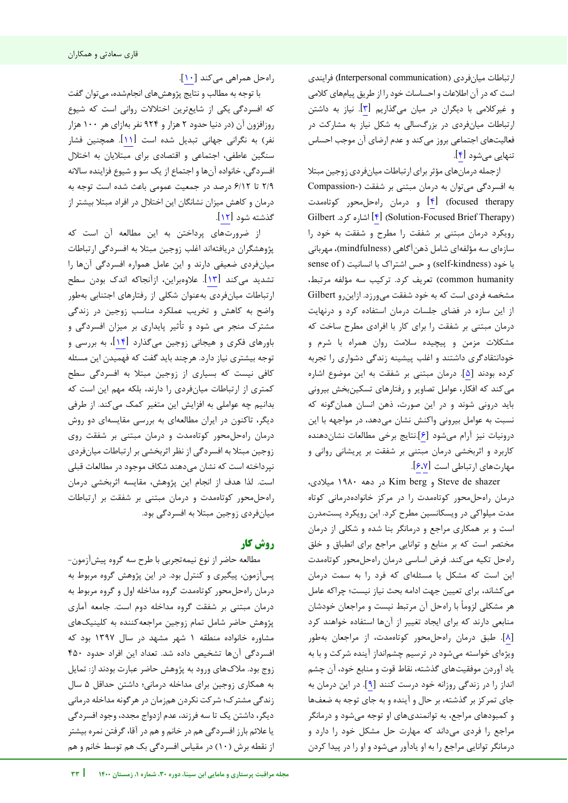ارتباطات میانفردی (Interpersonal communication) فرایندی است که در آن اطالعات و احساسات خود را از طریق پیامهای کالمی و غیرکالمی با دیگران در میان میگذاریم [\]3\[](#page-10-2). نیاز به داشتن ارتباطات میانفردی در بزرگسالی به شکل نیاز به مشارکت در فعالیتهای اجتماعی بروز میکند و عدم ارضای آن موجب احساس تنهایی می شود [۴].

ازجمله درمانهای مؤثر برای ارتباطات میانفردی زوجین مبتال به افسردگی میتوان به درمان مبتنی بر شفقت )-Compassion therapy focused[\[](#page-10-3) )[4](#page-10-3) [\]](#page-10-3)و درمان راهحلمحور کوتاهمدت Gilbert .کرد. Solution-Focused Brief Therapy) رویکرد درمان مبتنی بر شفقت را مطرح و شفقت به خود را سازهای سه مؤلفهای شامل ذهنآگاهی )mindfulness)، مهربانی با خود (self-kindness) و حس اشتراک با انسانیت (sense of humanity common )تعریف کرد. ترکیب سه مؤلفه مرتبط، مشخصه فردی است که به خود شفقت میورزد. ازاینرو Gilbert از این سازه در فضای جلسات درمان استفاده کرد و درنهایت درمان مبتنی بر شفقت را برای کار با افرادی مطرح ساخت که مشکالت مزمن و پیچیده سالمت روان همراه با شرم و خودانتقادگری داشتند و اغلب پیشینه زندگی دشواری را تجربه کرده بودند [[5](#page-10-4)]. درمان مبتنی بر شفقت به این موضوع اشاره میکند که افکار، عوامل تصاویر و رفتارهای تسکینبخش بیرونی باید درونی شوند و در این صورت، ذهن انسان همانگونه که نسبت به عوامل بیرونی واکنش نشان میدهد، در مواجهه با این درونیات نیز آرام میشود [[6](#page-10-5)].نتایج برخی مطالعات نشاندهنده کاربرد و اثربخشی درمان مبتنی بر شفقت بر پریشانی روانی و مهارتهای ارتباطی است [\]](#page-10-6)[6](#page-10-5)[،7](#page-10-6)[\[](#page-10-5).

،میالدی 1980 دهه در Kim berg و Steve de shazer درمان راهحلمحور کوتاهمدت را در مرکز خانوادهدرمانی کوتاه مدت میلواکی در ویسکانسین مطرح کرد. این رویکرد پستمدرن است و بر همکاری مراجع و درمانگر بنا شده و شکلی از درمان مختصر است که بر منابع و توانایی مراجع برای انطباق و خلق راهحل تکیه میکند. فرض اساسی درمان راهحلمحور کوتاهمدت این است که مشکل یا مسئلهای که فرد را به سمت درمان میکشاند، برای تعیین جهت ادامه بحث نیاز نیست؛ چراکه عامل هر مشکلی لزوما با راهحل آن مرتبط نیست و مراجعان خودشان منابعی دارند که برای ایجاد تغییر از آنها استفاده خواهند کرد [[8](#page-10-7)]. طبق درمان راهحلمحور کوتاهمدت، از مراجعان بهطور ویژهای خواسته میشود در ترسیم چشمانداز آینده شرکت و با به یاد آوردن موفقیتهای گذشته، نقاط قوت و منابع خود، آن چشم انداز را در زندگی روزانه خود درست کنند [[9](#page-10-8)]. در این درمان به جای تمرکز بر گذشته، بر حال و آینده و به جای توجه به ضعفها و کمبودهای مراجع، به توانمندیهای او توجه میشود و درمانگر مراجع را فردی میداند که مهارت حل مشکل خود را دارد و درمانگر توانایی مراجع را به او یادآور میشود و او را در پیدا کردن

j

راهحل همراهی میکند [[10](#page-10-9)].

با توجه به مطالب و نتایج پژوهشهای انجامشده، می توان گفت که افسردگی یکی از شایعترین اختالالت روانی است که شیوع روزافزون آن )در دنیا حدود 2 هزار و 924 نفر بهازای هر 100 هزار نفر) به نگرانی جهانی تبدیل شده است [11]. همچنین فشار سنگین عاطفی، اجتماعی و اقتصادی برای مبتالیان به اختالل افسردگی، خانواده آنها و اجتماع از یک سو و شیوع فزاینده ساالنه 2/9 تا 6/12 درصد در جمعیت عمومی باعث شده است توجه به درمان و کاهش میزان نشانگان این اختالل در افراد مبتال بیشتر از گذشته شود [\]12\[](#page-10-11).

از ضرورتهای پرداختن به این مطالعه آن است که پژوهشگران دریافته اغلب اند زوجین مبتال به افسردگی ارتباطات میانفردی ضعیفی دارند و این عامل همواره افسردگی آنها را تشدید میکند [\[](#page-10-12)<mark>۱۳</mark>]. علاوهبراین، ازآنجاکه اندک بودن سطح ارتباطات میانفردی بهعنوان شکلی از رفتارهای اجتنابی بهطور واضح به کاهش و تخریب عملکرد مناسب زوجین در زندگی مشترک منجر می شود و تأثیر پایداری بر میزان افسردگی و باورهای فکری و هیجانی زوجین میگذارد [\]14](#page-10-13) ، به بررسی و [ توجه بیشتری نیاز دارد. هرچند باید گفت که فهمیدن این مسئله کافی نیست که بسیاری از زوجین مبتال به افسردگی سطح کمتری از ارتباطات میانفردی را دارند، بلکه مهم این است که بدانیم چه عواملی به افزایش این متغیر کمک میکند. از طرفی دیگر، تاکنون در ایران مطالعهای به بررسی مقایسهای دو روش درمان راهحلمحور کوتاهمدت و درمان مبتنی بر شفقت روی زوجین مبتال به افسردگی از نظر اثربخشی بر ارتباطات میانفردی نپرداخته است که نشان میدهند شکاف موجود در مطالعات قبلی است. لذا هدف از انجام این پژوهش، مقایسه اثربخشی درمان راهحلمحور کوتاهمدت و درمان مبتنی بر شفقت بر ارتباطات میانفردی زوجین مبتال به افسردگی بود.

# **کار روش**

مطالعه حاضر از نوع نیمهتجربی با طرح سه گروه پیش -آزمون پسآزمون، پیگیری و کنترل بود . در این پژوهش گروه مربوط به درمان راه حل محور کوتاهمدت گروه مداخله اول و گروه مربوط به درمان مبتنی بر شفقت گروه مداخله دوم است. جامعه آماری پژوهش حاضر شامل تمام زوجین مراجعهکننده به کلینیکهای مشاوره خانواده منطقه 1 شهر مشهد در سال 1397 بود که افسردگی آنها تشخیص داده شد. تعداد این افراد حدود 450 زوج بود. مالکهای ورود به پژوهش حاضر عبارت بودند از: تمایل به همکاری زوجین برای مداخله درمانی؛ داشتن حداقل 5 سال زندگی مشترک؛ شرکت نکردن همزمان در هرگونه مداخله درمانی دیگر، داشتن یک تا سه فرزند، عدم ازدواج مجدد، وجود افسردگی یا عالئم بارز افسردگی هم در خانم و هم در آقا، گرفتن نمره بیشتر از نقطه برش )10( در مقیاس افسردگی بک هم توسط خانم و هم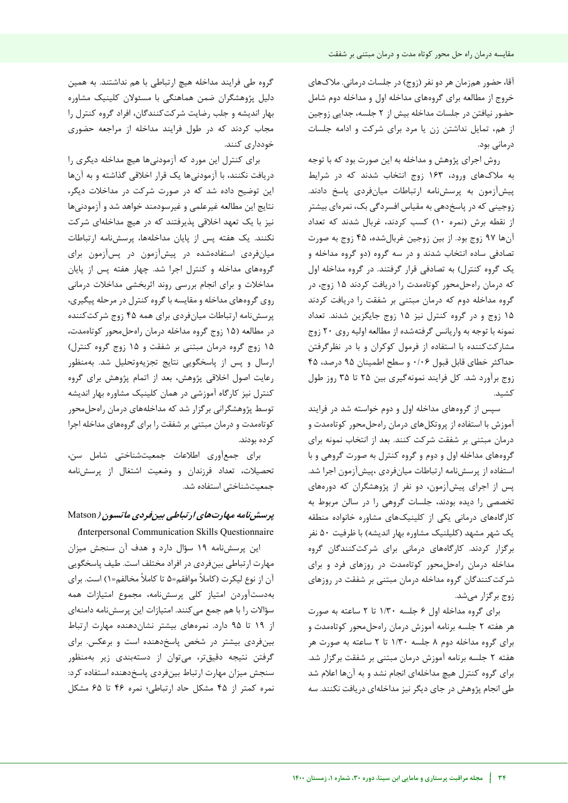آقا، حضور همزمان هر دو نفر )زوج( در جلسات درمانی. مالکهای خروج از مطالعه برای گروههای مداخله اول و مداخله دوم شامل حضور نیافتن در جلسات مداخله بیش از 2 جلسه، جدایی زوجین از هم، تمایل نداشتن زن یا مرد برای شرکت و ادامه جلسات درمانی بود.

روش اجرای پژوهش و مداخله به این صورت بود که با توجه به ملاکهای ورود، ۱۶۳ زوج انتخاب شدند که در شرایط پیشآزمون به پرسشنامه ارتباطات میانفردی پاسخ دادند. زوجینی که در پاسخدهی به مقیاس افسردگی بک، نمرهای بیشتر از نقطه برش )نمره 10( کسب کردند، غربال شدند که تعداد آنها 97 زوج بود. از بین زوجین غربالشده، 45 زوج به صورت تصادفی ساده انتخاب شدند و در سه گروه )دو گروه مداخله و یک گروه کنترل) به تصادفی قرار گرفتند. در گروه مداخله اول که درمان راهحلمحور کوتاهمدت را دریافت کردند 15 زوج، در گروه مداخله دوم که درمان مبتنی بر شفقت را دریافت کردند 15 زوج و در گروه کنترل نیز 15 زوج جایگزین شدند. تعداد نمونه با توجه به واریانس گرفتهشده از مطالعه اولیه روی 20 زوج مشارکتکننده با استفاده از فرمول کوکران و با در نظرگرفتن حداکثر خطای قابل قبول 0/06 و سطح اطمینان 95 درصد، 45 زوج برآورد شد. کل فرایند نمونهگیری بین 25 تا 35 روز طول کشید.

سپس از گروههای مداخله اول و دوم خواسته شد در فرایند آموزش با استفاده از پروتکل های درمان راهحل محور کوتاهمدت و درمان مبتنی بر شفقت شرکت کنند. بعد از انتخاب نمونه برای گروههای مداخله اول و دوم و گروه کنترل به صورت گروهی و با استفاده از پرسشنامه ارتباطات میانفردی ،پیشآزمون اجرا شد. پس از اجرای پیشآزمون، دو نفر از پژوهشگران که دورههای تخصصی را دیده بودند، جلسات گروهی را در سالن مربوط به کارگاههای درمانی یکی از کلینیک های مشاوره خانواده منطقه یک شهر مشهد )کلیلنیک مشاوره بهار اندیشه( با ظرفیت 50 نفر برگزار کردند. کارگاههای درمانی برای شرکتکنندگان گروه مداخله درمان راهحلمحور کوتاهمدت در روزهای فرد و برای شرکتکنندگان گروه مداخله درمان مبتنی بر شفقت در روزهای زوج برگزار میشد.

برای گروه مداخله اول 6 جلسه 1/30 تا 2 ساعته به صورت هر هفته 2 جلسه برنامه آموزش درمان راهحلمحور کوتاهمدت و برای گروه مداخله دوم 8 جلسه 1/30 تا 2 ساعته به صورت هر هفته 2 جلسه برنامه آموزش درمان مبتنی بر شفقت برگزار شد. برای گروه کنترل هیچ مداخلهای انجام نشد و به آنها اعالم شد طی انجام پژوهش در جای دیگر نیز مداخلهای دریافت نکنند. سه

گروه طی فرایند مداخله هیچ ارتباطی با هم نداشتند. به همین دلیل پژوهشگران ضمن هماهنگی با مسئوالن کلینیک مشاوره بهار اندیشه و جلب رضایت شرکتکنندگان، افراد گروه کنترل را مجاب کردند که در طول فرایند مداخله از مراجعه حضوری خودداری کنند.

برای کنترل این مورد که آزمودنیها هیچ مداخله دیگری را دریافت نکنند، با آزمودنیها یک قرار اخالقی گذاشته و به آنها این توضیح داده شد که در صورت شرکت در مداخالت دیگر، نتایج این مطالعه غیرعلمی و غیرسودمند خواهد شد و آزمودنیها نیز با یک تعهد اخالقی پذیرفتند که در هیچ مداخله ای شرکت نکنند. یک هفته پس از پایان مداخلهها، پرسشنامه ارتباطات میانفردی استفادهشده در پیشآزمون در پسآزمون برای گروههای مداخله و کنترل اجرا شد. چهار هفته پس از پایان مداخالت و برای انجام بررسی روند اثربخشی مداخالت درمانی روی گروههای مداخله و مقایسه با گروه کنترل در مرحله پیگیری، پرسشنامه ارتباطات میانفردی برای همه 45 زوج شرکتکننده در مطالعه )15 زوج گروه مداخله درمان راهحلمحور کوتاهمدت، 15 زوج گروه درمان مبتنی بر شفقت و 15 زوج گروه کنترل( ارسال و پس از پاسخگویی نتایج تجزیهوتحلیل شد. بهمنظور رعایت اصول اخالقی پژوهش، بعد از اتمام پژوهش برای گروه کنترل نیز کارگاه آموزشی در همان کلینیک مشاوره بهار اندیشه توسط پژوهشگرانی برگزار شد که مداخلههای درمان راهحلمحور کوتاهمدت و درمان مبتنی بر شفقت را برای گروههای مداخله اجرا کرده بودند.

برای جمعآوری اطالعات جمعیتشناختی شامل سن، تحصیالت، تعداد فرزندان و وضعیت اشتغال از پرسشنامه جمعیتشناختی استفاده شد.

# **پرسشنامه مهارتهای ارتباطی بینفردی ماتسون )** Matson

**)**Interpersonal Communication Skills Questionnaire این پرسشنامه 19 سؤال دارد و هدف آن سنجش میزان مهارت ارتباطی بینفردی در افراد مختلف است. طیف پاسخگویی آن از نوع لیکرت )کامال موافقم=5 تا کامال مخالفم=1( است. برای بهدستآوردن امتیاز کلی پرسشنامه، مجموع امتیازات همه سؤاالت را با هم جمع میکنند. امتیازات این پرسشنامه دامنهای از 19 تا 95 دارد. نمرههای بیشتر نشاندهنده مهارت ارتباط بینفردی بیشتر در شخص پاسخدهنده است و برعکس. برای گرفتن نتیجه دقیقتر، میتوان از دستهبندی زیر بهمنظور سنجش میزان مهارت ارتباط بینفردی پاسخدهنده استفاده کرد: نمره کمتر از 45 مشکل حاد ارتباطی؛ نمره 46 تا 65 مشکل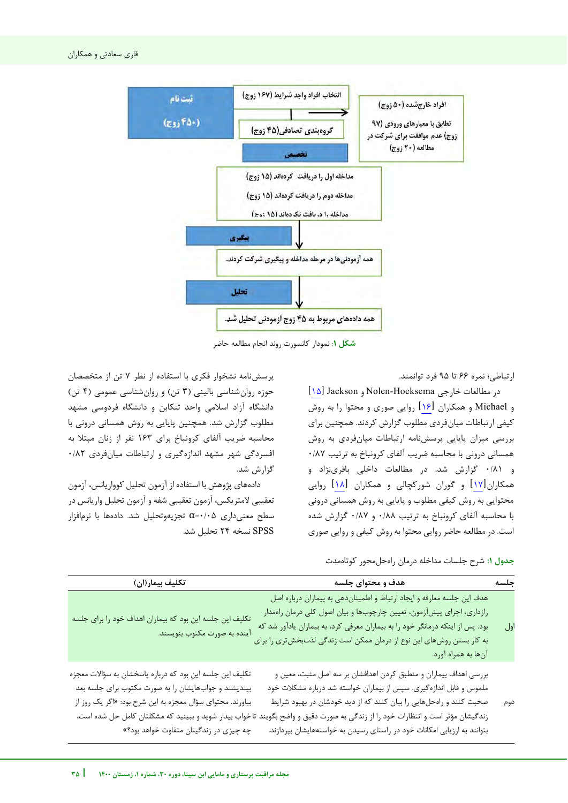

**شکل** :**1** نمودار کانسورت روند انجام مطالعه حاضر

ارتباطی؛ نمره 66 تا 95 فرد توانمند.

j

 $[1\Delta]$  $[1\Delta]$  Jackson و Nolen-Hoeksema و Michael و همکاران [\]16\[](#page-10-15) روایی صوری و محتوا را به روش کیفی ارتباطات میانفردی مطلوب گزارش کردند. همچنین برای بررسی میزان پایایی پرسشنامه ارتباطات میانفردی به روش همسانی درونی با محاسبه ضریب آلفای کرونباخ به ترتیب 0/87 و 0/81 گزارش شد. در مطالعات داخلی باقرینژاد و همکاران[۱۷] و گوران شورکچالی و همکاران [۱۸] روایی محتوایی به روش کیفی مطلوب و پایایی به روش همسانی درونی با محاسبه آلفای کرونباخ به ترتیب 0/88 و 0/87 گزارش شده است. در مطالعه حاضر روایی محتوا به روش کیفی و روایی صوری

پرسشنامه نشخوار فکری با استفاده از نظر 7 تن از متخصصان حوزه روان شناسی بالینی (۳ تن) و روان شناسی عمومی (۴ تن) دانشگاه آزاد اسالمی واحد تنکابن و دانشگاه فردوسی مشهد مطلوب گزارش شد. همچنین پایایی به روش همسانی درونی با محاسبه ضریب آلفای کرونباخ برای 163 نفر از زنان مبتال به افسردگی شهر مشهد اندازهگیری و ارتباطات میانفردی 0/82 گزارش شد.

دادههای پژوهش با استفاده از آزمون تحلیل کوواریانس، آزمون تعقیبی لامتریکس، آزمون تعقیبی شفه و آزمون تحلیل واریانس در سطح معنیداری  $\alpha$ ۰/۰۵ تجزیهوتحلیل شد. دادهها با نرمافزار SPSS نسخه 24 تحلیل شد.

**جدول :1** شرح جلسات مداخله درمان راهحلمحور کوتاهمدت

بتوانند به ارزیابی امکانات خود در راستای رسیدن به خواستههایشان بپردازند.

| جلسه | هدف و محتوای جلسه                                                                                                                                                                                                                                                                                                                               | تكليف بيمار(ان)                                                                                                                                                               |
|------|-------------------------------------------------------------------------------------------------------------------------------------------------------------------------------------------------------------------------------------------------------------------------------------------------------------------------------------------------|-------------------------------------------------------------------------------------------------------------------------------------------------------------------------------|
| اول  | هدف این جلسه معارفه و ایجاد ارتباط و اطمیناندهی به بیماران درباره اصل<br>رازداری، اجرای پیش آزمون، تعیین چارچوبها و بیان اصول کلی درمان راهمدار<br>بود. پس از اینکه درمانگر خود را به بیماران معرفی کرد، به بیماران یادآور شد که<br>به کار بستن روشهای این نوع از درمان ممکن است زندگی لذتبخشتری را برای<br>آنها به همراه آورد.                 | تکلیف این جلسه این بود که بیماران اهداف خود را برای جلسه<br>آينده به صورت مكتوب بنويسند.                                                                                      |
| دوم  | بررسی اهداف بیماران و منطبق کردن اهدافشان بر سه اصل مثبت، معین و<br>ملموس و قابل اندازهگیری. سپس از بیماران خواسته شد درباره مشکلات خود<br>صحبت کنند و راهحلهایی را بیان کنند که از دید خودشان در بهبود شرایط<br>زندگیشان مؤثر است و انتظارات خود را از زندگی به صورت دقیق و واضح بگویند تاخواب بیدار شوید و ببینید که مشکلتان کامل حل شده است، | تکلیف این جلسه این بود که درباره پاسخشان به سؤالات معجزه<br>بیندیشند و جوابهایشان را به صورت مکتوب برای جلسه بعد<br>بیاورند. محتوای سؤال معجزه به این شرح بود: «اگر یک روز از |

خواب بیدار شوید و ببینید که مشکلتان کامل حل شده است، چه چیزی در زندگیتان متفاوت خواهد بود؟«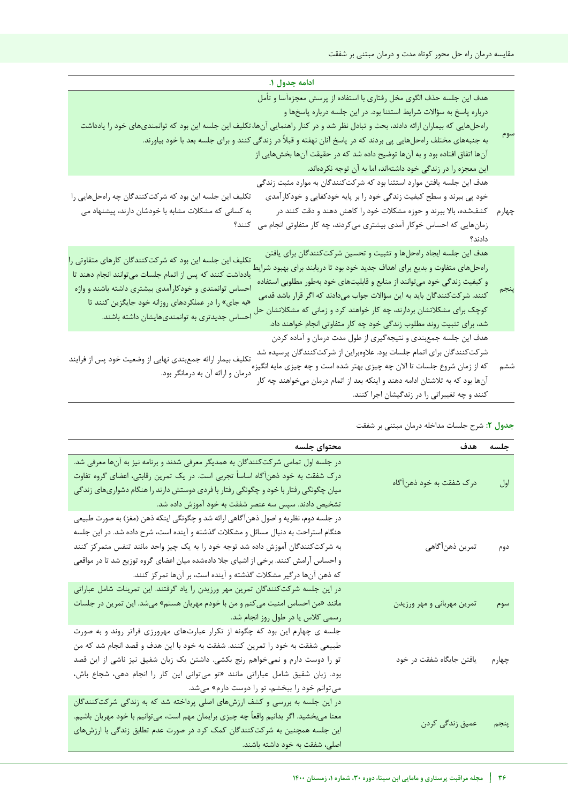| ادامه جدول ۱.                                                                                                                                                                                                                                                                                                                                                                                                                                                                                                                                                                                                                                                                                                                                   |     |
|-------------------------------------------------------------------------------------------------------------------------------------------------------------------------------------------------------------------------------------------------------------------------------------------------------------------------------------------------------------------------------------------------------------------------------------------------------------------------------------------------------------------------------------------------------------------------------------------------------------------------------------------------------------------------------------------------------------------------------------------------|-----|
| هدف این جلسه حذف الگوی مخل رفتاری با استفاده از پرسش معجزهآسا و تأمل<br>درباره پاسخ به سؤالات شرایط استثنا بود. در این جلسه درباره پاسخها و<br>رامحلهایی که بیماران ارائه دادند، بحث و تبادل نظر شد و در کنار راهنمایی آنها، تکلیف این جلسه این بود که توانمندیهای خود را یادداشت<br>به جنبههای مختلف راهحلهایی پی بردند که در پاسخ آنان نهفته و قبلاً در زندگی کنند و برای جلسه بعد با خود بیاورند.<br>آنها اتفاق افتاده بود و به آنها توضیح داده شد که در حقیقت آنها بخشهایی از<br>این معجزه را در زندگی خود داشتهاند، اما به آن توجه نکردهاند.                                                                                                                                                                                               | سوم |
| هدف این جلسه یافتن موارد استثنا بود که شرکتکنندگان به موارد مثبت زندگی<br>تکلیف این جلسه این بود که شرکتکنندگان چه راهحلهایی را<br>خود پی ببرند و سطح کیفیت زندگی خود را بر پایه خودکفایی و خودکارآمدی<br>به کسانی که مشکلات مشابه با خودشان دارند، پیشنهاد می<br>چهارم گشفشده، بالا ببرند و حوزه مشکلات خود را کاهش دهند و دقت کنند در<br>زمانهایی که احساس خوکار آمدی بیشتری میکردند، چه کار متفاوتی انجام می کنند؟<br>دادند؟                                                                                                                                                                                                                                                                                                                 |     |
| هدف این جلسه ایجاد راهحلها و تثبیت و تحسین شرکتکنندگان برای یافتن<br>تکلیف این جلسه این بود که شرکتکنندگان کارهای متفاوتی را<br>راهحلهای متفاوت و بدیع برای اهداف جدید خود بود تا دریابند برای بهبود شرایط<br>یادداشت کنند که پس از اتمام جلسات میتوانند انجام دهند تا<br>و کیفیت زندگی خود میتوانند از منابع و قابلیتهای خود بهطور مطلوبی استفاده<br>احساس توانمندی و خودکارآمدی بیشتری داشته باشند و واژه<br>کنند. شرکتکنندگان باید به این سؤالات جواب میدادند که اگر قرار باشد قدمی<br>«به جای» را در عملکردهای روزانه خود جایگزین کنند تا<br>کوچک برای مشکلاتشان بردارند، چه کار خواهند کرد و زمانی که مشکلاتشان حل<br>احساس جدیدتری به توانمندیهایشان داشته باشند.<br>شد، برای تثبیت روند مطلوب زندگی خود چه کار متفاوتی انجام خواهند داد. |     |
| هدف این جلسه جمع ندی و نتیجه گیری از طول مدت درمان و آماده کردن<br>شرکتکنندگان برای اتمام جلسات بود. علاوهبراین از شرکتکنندگان پرسیده شد<br>تکلیف بیمار ارائه جمعبندی نهایی از وضعیت خود پس از فرایند<br>که از زمان شروع جلسات تا الان چه چیزی بهتر شده است و چه چیزی مایه انگیزه<br>درمان و ارائه آن به درمانگر بود.<br>آنها بود که به تلاشتان ادامه دهند و اینکه بعد از اتمام درمان میخواهند چه کار<br>کنند و چه تغییراتی را در زندگیشان اجرا کنند.                                                                                                                                                                                                                                                                                           | ششم |

|  | ج <b>دول ۲</b> : شرح جلسات مداخله درمان مبتنی بر شفقت |  |  |  |  |  |  |
|--|-------------------------------------------------------|--|--|--|--|--|--|
|--|-------------------------------------------------------|--|--|--|--|--|--|

| محتواي جلسه                                                                                                                                                                                                                                                                                                                                                                                                         | هدف                        | جلسه  |
|---------------------------------------------------------------------------------------------------------------------------------------------------------------------------------------------------------------------------------------------------------------------------------------------------------------------------------------------------------------------------------------------------------------------|----------------------------|-------|
| در جلسه اول تمامی شرکتکنندگان به همدیگر معرفی شدند و برنامه نیز به آنها معرفی شد.<br>درک شفقت به خود ذهنآگاه اساساً تجربی است. در یک تمرین رقابتی، اعضای گروه تفاوت<br>میان چگونگی رفتار با خود و چگونگی رفتار با فردی دوستش دارند را هنگام دشواریهای زندگی<br>تشخیص دادند. سپس سه عنصر شفقت به خود آموزش داده شد.                                                                                                  | درک شفقت به خود ذهنآگاه    | اول   |
| در جلسه دوم، نظريه و اصول ذهنآگاهي ارائه شد و چگونگي اينكه ذهن (مغز) به صورت طبيعي<br>هنگام استراحت به دنبال مسائل و مشکلات گذشته و آینده است، شرح داده شد. در این جلسه<br>به شرکتکنندگان آموزش داده شد توجه خود را به یک چیز واحد مانند تنفس متمرکز کنند<br>و احساس آرامش کنند. برخی از اشیای جلا دادهشده میان اعضای گروه توزیع شد تا در مواقعی<br>که ذهن آنها درگیر مشکلات گذشته و آینده است، بر آنها تمرکز کنند. | تمرين ذهنآگاهي             | دوم   |
| در این جلسه شرکتکنندگان تمرین مهر ورزیدن را یاد گرفتند. این تمرینات شامل عباراتی<br>مانند «من احساس امنیت میکنم و من با خودم مهربان هستم» میشد. این تمرین در جلسات<br>رسمی کلاس یا در طول روز انجام شد.                                                                                                                                                                                                             | تمرین مهربانی و مهر ورزیدن | سوم   |
| جلسه ی چهارم این بود که چگونه از تکرار عبارتهای مهرورزی فراتر روند و به صورت<br>طبیعی شفقت به خود را تمرین کنند. شفقت به خود با این هدف و قصد انجام شد که من<br>تو را دوست دارم و نمیخواهم رنج بکشی. داشتن یک زبان شفیق نیز ناشی از این قصد<br>بود. زبان شفیق شامل عباراتی مانند «تو میتوانی این کار را انجام دهی، شجاع باش،<br>می توانم خود را ببخشم، تو را دوست دارم» می شد.                                      | یافتن جایگاه شفقت در خود   | چهارم |
| در این جلسه به بررسی و کشف ارزشهای اصلی پرداخته شد که به زندگی شرکتکنندگان<br>معنا میبخشید. اگر بدانیم واقعاً چه چیزی برایمان مهم است، میتوانیم با خود مهربان باشیم.<br>این جلسه همچنین به شرکتکنندگان کمک کرد در صورت عدم تطابق زندگی با ارزشهای<br>اصلی، شفقت به خود داشته باشند.                                                                                                                                 | عمیق زندگی کردن            | ينجم  |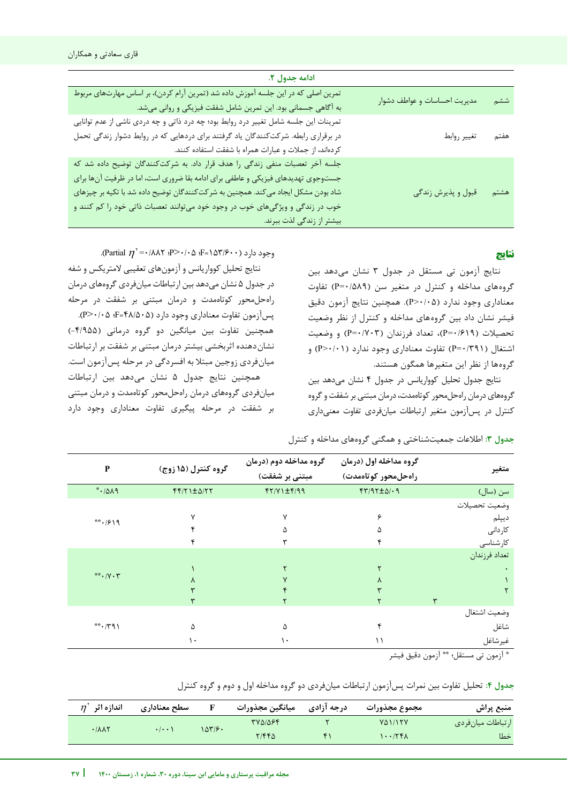| ادامه جدول ۲.                                                                                                                                                                                                                                                                                                                                                        |                              |      |
|----------------------------------------------------------------------------------------------------------------------------------------------------------------------------------------------------------------------------------------------------------------------------------------------------------------------------------------------------------------------|------------------------------|------|
| تمرین اصلی که در این جلسه آموزش داده شد (تمرین آرام کردن)، بر اساس مهارتهای مربوط<br>به آگاهی جسمانی بود. این تمرین شامل شفقت فیزیکی و روانی میشد.                                                                                                                                                                                                                   | مدیریت احساسات و عواطف دشوار | ششم  |
| تمرینات این جلسه شامل تغییر درد روابط بود؛ چه درد ذاتی و چه دردی ناشی از عدم توانایی<br>در برقراری رابطه. شرکتکنندگان یاد گرفتند برای دردهایی که در روابط دشوار زندگی تحمل<br>كردهاند، از جملات و عبارات همراه با شفقت استفاده كنند.                                                                                                                                 | تغيير روابط                  | هفتم |
| جلسه آخر تعصبات منفی زندگی را هدف قرار داد. به شرکتکنندگان توضیح داده شد که<br>جستوجوی تهدیدهای فیزیکی و عاطفی برای ادامه بقا ضروری است، اما در ظرفیت آنها برای<br>شاد بودن مشکل ایجاد می کند. همچنین به شر کت کنندگان توضیح داده شد با تکیه بر چیزهای<br>خوب در زندگی و ویژگیهای خوب در وجود خود میتوانند تعصبات ذاتی خود را کم کنند و<br>بیشتر از زندگی لذت ببرند. | قبول و پذیرش زندگی           | هشتم |

# **نتایج**

نتایج آزمون تی مستقل در جدول 3 نشان میدهد بین گروههای مداخله و کنترل در متغیر سن (P=۰/۵۸۹) تفاوت معناداری وجود ندارد )0/05<P). همچنین نتایج آزمون دقیق فیشر نشان داد بین گروههای مداخله و کنترل از نظر وضعیت تحصیلات (P=٠/٧٠٣)، تعداد فرزندان (P=٠/٧٠٣) و وضعیت اشتغال )0/391=P )تفاوت معناداری وجود ندارد )0/01<P )و گروهها از نظر این متغیرها همگون هستند.

نتایج جدول تحلیل کوواریانس در جدول 4 نشان میدهد بین گروههای درمان راهحلمحور کوتاهمدت، درمان مبتنی بر شفقت و گروه کنترل در پسآزمون متغیر ارتباطات میانفردی تفاوت معنیداری

وجود دارد (۱۵۳/۶۰۰– F؛ ۵۰/۰۵- Partial  $\eta^{\texttt{`}}$ ۰/۰۵؛ P

نتایج تحلیل کوواریانس و آزمونهای تعقیبی المتریکس و شفه در جدول 5 نشان میدهد بین ارتباطات میانفردی گروههای درمان راهحلمحور کوتاهمدت و درمان مبتنی بر شفقت در مرحله پسآزمون تفاوت معناداری وجود دارد )48/505=F؛ 0/05<P). همچنین تفاوت بین میانگین دو گروه درمانی )-4/955( نشان دهنده اثربخشی بیشتر درمان مبتنی بر شفقت بر ارتباطات میانفردی زوجین مبتال به افسردگی در مرحله پسآزمون است. همچنین نتایج جدول 5 نشان میدهد بین ارتباطات میانفردی گروههای درمان راهحلمحور کوتاهمدت و درمان مبتنی بر شفقت در مرحله پیگیری تفاوت معناداری وجود دارد

| P                   | گروه کنترل (۱۵ زوج)    | گروه مداخله دوم (درمان | گروه مداخله اول (درمان        | متغير                                                                                                                                                                                                                                           |
|---------------------|------------------------|------------------------|-------------------------------|-------------------------------------------------------------------------------------------------------------------------------------------------------------------------------------------------------------------------------------------------|
|                     |                        | مبتنی بر شفقت)         | راەحل،حور كوتاەمدت)           |                                                                                                                                                                                                                                                 |
| PAA                 | $f(f Y) \pm \Delta/YY$ | $f(Y/Y) \pm f/99$      | $f(\gamma) \gamma + \Delta/2$ | سن (سال)                                                                                                                                                                                                                                        |
|                     |                        |                        |                               | وضعيت تحصيلات                                                                                                                                                                                                                                   |
| $***$ / $9$ \ 9     | ٧                      | ٧                      | ۶                             | ديپلم                                                                                                                                                                                                                                           |
|                     |                        | ۵                      | ۵                             | كاردانى                                                                                                                                                                                                                                         |
|                     |                        |                        |                               | كارشناسى                                                                                                                                                                                                                                        |
|                     |                        |                        |                               | تعداد فرزندان                                                                                                                                                                                                                                   |
|                     |                        |                        |                               |                                                                                                                                                                                                                                                 |
| $**$ . $/Y \cdot Y$ |                        |                        | ۸                             |                                                                                                                                                                                                                                                 |
|                     |                        |                        |                               |                                                                                                                                                                                                                                                 |
|                     |                        |                        |                               | ٣                                                                                                                                                                                                                                               |
|                     |                        |                        |                               | وضعيت اشتغال                                                                                                                                                                                                                                    |
| $*$ $(79)$          | ۵                      | ۵                      |                               | شاغل                                                                                                                                                                                                                                            |
|                     | ۱۰                     | ۱۰                     | ۱۱                            | غيرشاغل                                                                                                                                                                                                                                         |
|                     |                        |                        |                               | $\tau$ $\sim$<br>The Contract of the Contract of the Contract of the Contract of the Contract of the Contract of the Contract of The Contract of The Contract of The Contract of The Contract of The Contract of The Contract of The Contract o |

**جدول :3** اطالعات جمعیتشناختی و همگنی گروههای مداخله و کنترل

\* آزمون دقیق فیشر \*\* آزمون تی مستقل؛

j

# **جدول :4** تحلیل تفاوت بین نمرات پسآزمون ارتباطات میانفردی دو گروه مداخله اول و دوم و گروه کنترل

| اندازه اثر<br>$\eta$ | سطح معنادارى                |        | ميانگين مجذورات | درجه آزادی | مجموع مجذورات         | منبع پراش         |
|----------------------|-----------------------------|--------|-----------------|------------|-----------------------|-------------------|
| .111                 | $\cdot$ / $\cdot$ $\cdot$ ' | ۱۵۳/۶۰ | TV01084         |            | <b>VA1/15V</b>        | ارتباطات ميانفردي |
|                      |                             |        | T/FFA           |            | $\lambda$ + $\lambda$ | خطا               |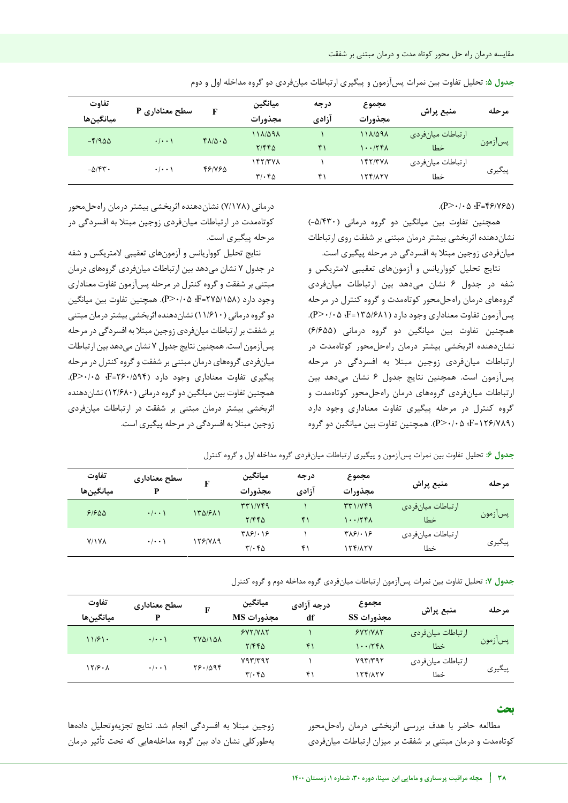| تفاوت<br>ميانگينھا | سطح معناداری P      | F                            | ميانگين<br>مجذورات                               | درجه<br>آزادي | مجموع<br>مجذورات           | منبع پراش                 | مرحله   |
|--------------------|---------------------|------------------------------|--------------------------------------------------|---------------|----------------------------|---------------------------|---------|
| $-F/900$           | $\cdot$ / $\cdot$ ) | $f\Lambda/\Delta\cdot\Delta$ | 118098<br>Y/FFA                                  | $f \cap$      | 111/091<br>1.75            | ار تباطات میانفردی<br>خطا | پسآزمون |
| $-\Delta$ /۴۳.     | $\cdot$ / $\cdot$ \ | 481785                       | $\frac{147}{70}$<br>$\mathbf{r}/\cdot\mathbf{r}$ | ۴۱            | $\frac{15}{15}$<br>154/17V | ارتباطات ميانفردي<br>خطا  | پیگیری  |

**جدول :5** تحلیل تفاوت بین نمرات پسآزمون و پیگیری ارتباطات میانفردی دو گروه مداخله اول و دوم

## $(P>\cdot/\cdot \Delta \cdot F=Ff/(Vf\Delta))$

همچنین تفاوت بین میانگین دو گروه درمانی )-5/430( نشاندهنده اثربخشی بیشتر درمان مبتنی بر شفقت روی ارتباطات میانفردی زوجین مبتال به افسردگی در مرحله پیگیری است.

نتایج تحلیل کوواریانس و آزمونهای تعقیبی المتریکس و شفه در جدول 6 نشان میدهد بین ارتباطات میانفردی گروههای درمان راهحلمحور کوتاهمدت و گروه کنترل در مرحله پسآزمون تفاوت معناداری وجود دارد )135/681=F؛ 0/05<P). همچنین تفاوت بین میانگین دو گروه درمانی )6/655( نشاندهنده اثربخشی بیشتر درمان راهحلمحور کوتاهمدت در ارتباطات میانفردی زوجین مبتال به افسردگی در مرحله پسآزمون است. همچنین نتایج جدول 6 نشان میدهد بین ارتباطات میانفردی گروههای درمان راهحلمحور کوتاهمدت و گروه کنترل در مرحله پیگیری تفاوت معناداری وجود دارد )126/789=F؛ 0/05<P). همچنین تفاوت بین میانگین دو گروه

درمانی (۷/۱۷۸) نشان دهنده اثربخشی بیشتر درمان راهحل محور کوتاهمدت در ارتباطات میانفردی زوجین مبتال به افسردگی در مرحله پیگیری است.

نتایج تحلیل کوواریانس و آزمونهای تعقیبی المتریکس و شفه در جدول 7 نشان میدهد بین ارتباطات میانفردی گروههای درمان مبتنی بر شفقت و گروه کنترل در مرحله پسآزمون تفاوت معناداری وجود دارد )275/158=F؛ 0/05<P). همچنین تفاوت بین میانگین دو گروه درمانی )11/610( نشاندهنده اثربخشی بیشتر درمان مبتنی بر شفقت بر ارتباطات میانفردی زوجین مبتال به افسردگی در مرحله پسآزمون است.همچنین نتایج جدول 7 نشان میدهد بین ارتباطات میانفردی گروههای درمان مبتنی بر شفقت و گروه کنترل در مرحله پیگیری تفاوت معناداری وجود دارد )260/594=F؛ 0/05<P). همچنین تفاوت بین میانگین دو گروه درمانی )12/680( نشاندهنده اثربخشی بیشتر درمان مبتنی بر شفقت در ارتباطات میانفردی زوجین مبتال به افسردگی در مرحله پیگیری است.

| تفاوت<br>ميانگينھا                  | سطح معنادارى<br>D              | F             | ميانگين<br>مجذورات                                                    | درجه<br>آزادي | مجموع<br>مجذورات                                                      | منبع پراش          | مرحله   |
|-------------------------------------|--------------------------------|---------------|-----------------------------------------------------------------------|---------------|-----------------------------------------------------------------------|--------------------|---------|
|                                     |                                |               | $\mathbf{r} \mathbf{r} \mathbf{1} / \mathbf{V} \mathbf{f} \mathbf{q}$ |               | $\mathbf{r} \mathbf{r} \mathbf{1} / \mathbf{V} \mathbf{f} \mathbf{q}$ | ار تباطات میانفردی |         |
| 91900                               | $\cdot$ $ \cdot \cdot \rangle$ | 131611        | ۲/۴۴۵                                                                 | ۴۱            | 1.75                                                                  | خطا                | پسآزمون |
|                                     |                                |               | $T\lambda 51.15$                                                      |               | $T\lambda 51.15$                                                      | ار تباطات میانفردی |         |
| <b>Y/IVA</b><br>$\cdot$ / $\cdot$ ) | 1581789                        | $T/\cdot$ $6$ | ۴۱                                                                    | 1541154       | خطا                                                                   | پیگیری             |         |

**جدول :7** تحلیل تفاوت بین نمرات پسآزمون ارتباطات میانفردی گروه مداخله دوم و گروه کنترل

| تفاوت<br>ميانگينھا | سطح معنادارى              |                | ميانگين<br>مجذورات MS        | درجه آزادی<br>df | مجموع<br>مجذورات SS | منبع پراش         | مرحله   |
|--------------------|---------------------------|----------------|------------------------------|------------------|---------------------|-------------------|---------|
| 11/51.             | $\cdot$ / $\cdot$ )       | <b>TYQ/1QA</b> | YY/YAY                       |                  | YY/YAY              | ارتباطات ميانفردي | پسآزمون |
|                    |                           |                | Y/FFA                        | ۴۱               | 1.75                | خطا               |         |
| 17/9.1             | $\cdot$ / $\cdot$ $\cdot$ | Y9.1099        | Y97797                       |                  | Y97/T97             | ارتباطات ميانفردي |         |
|                    |                           |                | $\mathbf{r}/\cdot\mathbf{r}$ | ۴۱               | ۱۲۴/۸۲۷             | خطا               | پیگیری  |

#### **بحث**

مطالعه حاضر با هدف بررسی اثربخشی درمان راهحلمحور کوتاهمدت و درمان مبتنی بر شفقت بر میزان ارتباطات میان ردی ف

زوجین مبتال به افسردگی انجام شد. نتایج تجزیهوتحلیل دادهها بهطورکلی نشان داد بین گروه مداخلههایی که تحت تأثیر درمان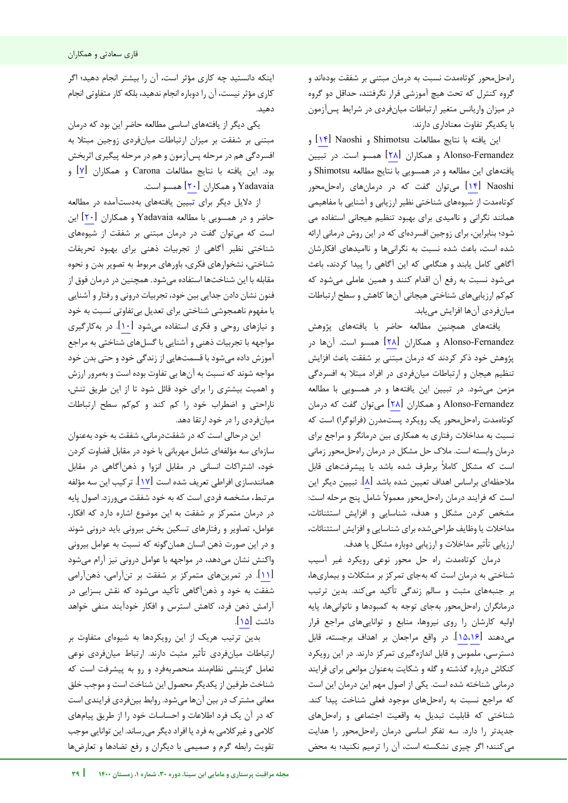راهحلمحور کوتاهمدت نسبت به درمان مبتنی بر شفقت بودهاند و گروه کنترل که تحت هیچ آموزشی قرار نگرفتند، حداقل دو گروه در میزان واریانس متغیر ارتباطات میانفردی در شرایط پسآزمون با یکدیگر تفاوت معناداری دارند.

این یافته با نتایج مطالعات Shimotsu و N۴ [\]](#page-10-13) Naoshi و Fernandez-Alonso و همکاران [\]28\[](#page-11-1) همسو است. در تبیین یافتههای این مطالعه و در همسویی با نتایج مطالعه Shimotsu و Naoshi[ [14](#page-10-13) [\]](#page-10-13)میتوان گفت که در درمانهای راهحلمحور کوتاهمدت از شیوههای شناختی نظیر ارزیابی و آشنایی با مفاهیمی همانند نگرانی و ناامیدی برای بهبود تنظیم هیجانی استفاده می شود؛ بنابراین، برای زوجین افسردهای که در این روش درمانی ارائه شده است، باعث شده نسبت به نگرانیها و ناامیدهای افکارشان آگاهی کامل یابند و هنگامی که این آگاهی را پیدا کردند، باعث میشود نسبت به رفع آن اقدام کنند و همین عاملی میشود که کمکم ارزیابیهای شناختی هیجانی آنها کاهش و سطح ارتباطات میانفردی آنها افزایش مییابد.

یافتههای همچنین مطالعه حاضر با یافتههای پژوهش Fernandez-Alonso و همکاران [\]28\[](#page-11-1) همسو است. آنها در پژوهش خود ذکر کردند که درمان مبتنی بر شفقت باعث افزایش تنظیم هیجان و ارتباطات میانفردی در افراد مبتال به افسردگی مزمن میشود. در تبیین این یافتهها و در همسویی با مطالعه Fernandez-Alonso و همکاران [\]28\[](#page-11-1) میتوان گفت که درمان کوتاهمدت راهحلمحور یک رویکرد پستمدرن (فرانوگرا) است که نسبت به مداخالت رفتاری به همکاری بین درمانگر و مراجع برای درمان وابسته است. مالک حل مشکل در درمان راهحلمحور زمانی است که مشکل کامال برطرف شده باشد یا پیشرفتهای قابل مالحظهای براساس اهداف تعیین شده باشد [\]8\[](#page-10-7). تبیین دیگر این است که فرایند درمان راهحل محور معموال شامل پنج مرحله است: مشخص کردن مشکل و هدف، شناسایی و افزایش استثنائات، مداخالت یا وظایف طراحیشده برای شناسایی و افزایش استثنائات، ارزیابی تأثیر مداخالت و ارزیابی دوباره مشکل یا هدف.

درمان کوتاه مدت راه حل محور نوعی رویکرد غیر آسیب شناختی به درمان است که بهجای تمرکز بر مشکالت و بیماریها، بر جنبههای مثبت و سالم زندگی تأکید میکند. بدین ترتیب درمانگران راهحلمحور بهجای توجه به کمبودها و ناتوانی ها، پایه اولیه کارشان را روی نیروها، منابع و تواناییهای مراجع قرار میدهند [\]](#page-10-15)[15](#page-10-14)[،16](#page-10-15)[\[](#page-10-14). در واقع مراجعان بر اهداف برجسته، قابل دسترسی، ملموس و قابل اندازهگیری تمرکز دارند. در این رویکرد کنکاش درباره گذشته و گله و شکایت بهعنوان موانعی برای فرایند درمانی شناخته شده است. یکی از اصول مهم این درمان این است که مراجع نسبت به راهحلهای موجود فعلی شناخت پیدا کند. شناختی که قابلیت تبدیل به واقعیت اجتماعی و راهحلهای جدیدتر را دارد. سه تفکر اساسی درمان راهحلمحور را هدایت میکنند؛ اگر چیزی نشکسته است، آن را ترمیم نکنید؛ به محض

j

اینکه دانستید چه کاری مؤثر است، آن را بیشتر انجام دهید؛ اگر کاری مؤثر نیست، آن را دوباره انجام ندهید، بلکه کار متفاوتی انجام دهید.

یکی دیگر از یافتههای اساسی مطالعه حاضر این بود که درمان مبتنی بر شفقت بر میزان ارتباطات میانفردی زوجین مبتال به افسردگی هم در مرحله پسآزمون و هم در مرحله پیگیری اثربخش بود. این یافته با نتایج مطالعات Carona و همکاران [\]7\[](#page-10-6) و Yadavaia و همکاران  $[7 \cdot]$  همسو است.

از دلایل دیگر برای تبیین یافتههای به دستآمده در مطالعه حاضر و در همسویی با مطالعه Yadavaia و همکاران [\]20\[](#page-11-2) این است که میتوان گفت در درمان مبتنی بر شفقت از شیوههای شناختی نظیر آگاهی از تجربیات ذهنی برای بهبود تحریفات شناختی، نشخوارهای فکری، باورهای مربوط به تصویر بدن و نحوه مقابله با این شناختها استفاده میشود. همچنین در درمان فوق از فنون نشان دادن جدایی بین خود، تجربیات درونی و رفتار و آشنایی با مفهوم ناهمجوشی شناختی برای تعدیل بیتفاوتی نسبت به خود و نیازهای روحی و فکری استفاده میشود [1۰]. در بهکارگیری مواجهه با تجربیات ذهنی و آشنایی با گسلهای شناختی به مراجع آموزش داده میشود با قسمتهایی از زندگی خود و حتی بدن خود مواجه شوند که نسبت به آنها بی تفاوت بوده است و بهمرور ارزش و اهمیت بیشتری را برای خود قائل شود تا از این طریق تنش، ناراحتی و اضطراب خود را کم کند و کمکم سطح ارتباطات میانفردی را در خود ارتقا دهد.

این درحالی است که در شفقتدرمانی، شفقت به خود بهعنوان سازهای سه مؤلفهای شامل مهربانی با خود در مقابل قضاوت کردن خود، اشتراکات انسانی در مقابل انزوا و ذهنآگاهی در مقابل همانندسازی افراطی تعریف شده است [\]17\[](#page-10-16). ترکیب این سه مؤلفه مرتبط، مشخصه فردی است که به خود شفقت میورزد. اصول پایه در درمان متمرکز بر شفقت به این موضوع اشاره دارد که افکار، عوامل، تصاویر و رفتارهای تسکین بخش بیرونی باید درونی شوند و در این صورت ذهن انسان همانگونه که نسبت به عوامل بیرونی واکنش نشان میدهد، در مواجهه با عوامل درونی نیز آرام میشود [\]11\[](#page-10-10). در تمرینهای متمرکز بر شفقت بر تنآرامی، ذهنآرامی شفقت به خود و ذهنآگاهی تأکید میشود که نقش بسزایی در آرامش ذهن فرد، کاهش استرس و افکار خودآیند منفی خواهد داشت [\]15\[](#page-10-14).

بدین ترتیب هریک از این رویکردها به شیوهای متفاوت بر ارتباطات میانفردی تأثیر مثبت دارند. ارتباط میان فردی نوعی تعامل گزینشی نظاممند منحصربهفرد و رو به پیشرفت است که شناخت طرفین از یکدیگر محصول این شناخت است و موجب خلق معانی مشترک در بین آنها میشود. روابط بینفردی فرایندی است که در آن یک فرد اطالعات و احساسات خود را از طریق پیامهای کالمی و غیرکالمی به فرد یا افراد دیگر میرساند. این توانایی موجب تقویت رابطه گرم و صمیمی با دیگران و رفع تضادها و تعارضها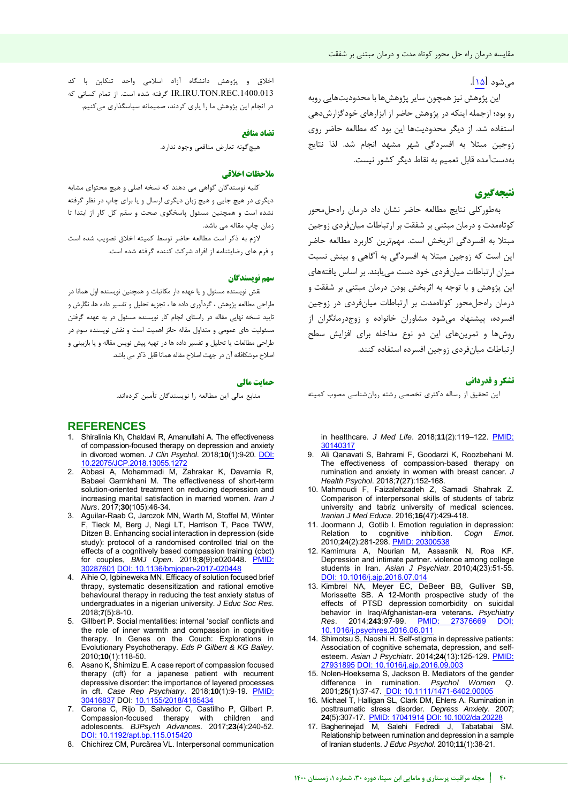# میشود [\]15\[](#page-10-14).

این پژوهش نیز همچون سایر پژوهشها با محدودیت ههایی روب رو بود؛ ازجمله اینکه در پژوهش حاضر از ابزارهای خودگزارش دهی استفاده شد. از دیگر محدودیتها این بود که مطالعه حاضر روی زوجین مبتال به افسردگی شهر مشهد انجام شد. لذا نتایج بهدستآمده قابل تعمیم به نقاط دیگر کشور نیست.

# **نتیجهگیری**

بهطورکلی نتایج مطالعه حاضر نشان داد درمان راهحلمحور کوتاهمدت و درمان مبتنی بر شفقت بر ارتباطات میانفردی زوجین مبتلا به افسردگی اثربخش است. مهمترین کاربرد مطالعه حاضر این است که زوجین مبتال به افسردگی به آگاهی و بینش نسبت میزان ارتباطات میانفردی خود دست مییابند. بر اساس یافتههای این پژوهش و با توجه به اثربخش بودن درمان مبتنی بر شفقت و درمان راهحل محور کوتاهمدت بر ارتباطات میان فردی در زوجین افسرده، پیشنهاد می شود مشاوران خانواده و زوج درمانگران از روشها و تمرینهای این دو نوع مداخله برای افزایش سطح ار تباطات میان فردی زوجین افسرده استفاده کنند.

#### **تشکر و قدردانی**

این تحقیق از رساله دکتری تخصصی رشته روانشناسی مصوب کمیته

in healthcare. *J Med Life*. 2018;**11**(2):119–122. [PMID:](https://pubmed.ncbi.nlm.nih.gov/30140317/)  [30140317](https://pubmed.ncbi.nlm.nih.gov/30140317/) 

- <span id="page-10-8"></span>9. Ali Qanavati S, Bahrami F, Goodarzi K, Roozbehani M. The effectiveness of compassion-based therapy on rumination and anxiety in women with breast cancer. *J Health Psychol*. 2018;**7**(27):152-168.
- <span id="page-10-9"></span>10. Mahmoudi F, Faizalehzadeh Z, Samadi Shahrak Z. Comparison of interpersonal skills of students of tabriz university and tabriz university of medical sciences. *Iranian J Med Educa*. 2016;**16**(47):429-418.
- <span id="page-10-10"></span>11. [Joormann J,](http://www.tandfonline.com/author/Joormann%2C+Jutta) [Gotlib](http://www.tandfonline.com/author/Gotlib%2C+Ian+H) I. Emotion regulation in depression: Relation to cognitive inhibition. *Cogn Emot*. 2010;**24**(2):281-298[. PMID: 20300538](https://pubmed.ncbi.nlm.nih.gov/20300538/#:~:text=These%20findings%20suggest%20that%20individual,regulation%20strategies%20in%20this%20disorder.)
- <span id="page-10-11"></span>12. Kamimura A, Nourian M, Assasnik N, Roa KF. [Depression and intimate partner. violence among college](http://www.sciencedirect.com/science/article/pii/S1876201816303082)  [students in Iran.](http://www.sciencedirect.com/science/article/pii/S1876201816303082) *Asian J Psychiatr*. 2010;**4**(23):51-55. [DOI: 10.1016/j.ajp.2016.07.014](https://doi.org/10.1016/j.ajp.2016.07.014)
- <span id="page-10-12"></span>13. Kimbrel NA, Meyer EC, DeBeer BB, Gulliver SB, Morissette SB. [A 12-Month prospective study of the](http://www.sciencedirect.com/science/article/pii/S0165178116300671)  [effects of PTSD depression comorbidity on suicidal](http://www.sciencedirect.com/science/article/pii/S0165178116300671)  [behavior in Iraq/Afghanistan-era veterans](http://www.sciencedirect.com/science/article/pii/S0165178116300671)**.** *Psychiatry Res*. 2014;**243**:97-99. [PMID: 27376669](https://pubmed.ncbi.nlm.nih.gov/27376669/#:~:text=Logistic%20regression%20models%20demonstrated%20that,depression%20(n%3D98).) [DOI:](https://doi.org/10.1016/j.psychres.2016.06.011)  [10.1016/j.psychres.2016.06.011](https://doi.org/10.1016/j.psychres.2016.06.011)
- <span id="page-10-13"></span>14. Shimotsu S, Naoshi H[. Self-stigma in depressive patients:](http://www.sciencedirect.com/science/article/pii/S187620181630394X)  [Association of cognitive schemata, depression, and self](http://www.sciencedirect.com/science/article/pii/S187620181630394X)[esteem.](http://www.sciencedirect.com/science/article/pii/S187620181630394X) *Asian J Psychiatr*. 2014;**24**(13):125-129. [PMID:](https://pubmed.ncbi.nlm.nih.gov/27931895/)  27931<u>895 DOI: 10.1016/j.ajp.2016.09.00</u>
- <span id="page-10-14"></span>15. Nolen-Hoeksema S, Jackson B. Mediators of the gender difference in rumination. *Psychol Women Q*. 2001;**25**(1):37-47. [DOI: 10.1111/1471-6402.00005](https://doi.org/10.1111%2F1471-6402.00005)
- <span id="page-10-15"></span>16. Michael T, Halligan SL, Clark DM, Ehlers A. Rumination in posttraumatic stress disorder. *Depress Anxiety*. 2007; **24**(5):307-17. [PMID: 17041914](https://pubmed.ncbi.nlm.nih.gov/17041914/) [DOI: 10.1002/da.20228](https://doi.org/10.1002/da.20228)
- <span id="page-10-16"></span>17. Bagherinejad M, Salehi Fedredi J, Tabatabai SM. Relationship between rumination and depression in a sample of Iranian students. *J Educ Psychol*. 2010;**11**(1):38-21.

اخالق و پژوهش دانشگاه آزاد اسالمی واحد تنکابن با کد .1400.013REC.TON.IRU.IR گرفته شده است. از تمام کسانی که در انجام این پژوهش ما را یاری کردند، صمیمانه سپاسگذاری میکنیم.

#### **منافع تضاد**

هیچ گونه تعارض منافعی وجود ندارد.

### **یاخالق مالحظات**

کلیه نوسندگان گواهی می دهند که نسخه اصلی و هیچ محتوای مشابه دیگری در هیچ جایی و هیچ زبان دیگری ارسال و یا برای چاپ در نظر گرفته نشده است و همچنین مسئول پاسخگوی صحت و سقم کل کار از ابتدا تا زمان چاپ مقاله می باشد.

 الزم به ذکر است مطالعه حاضر توسط کمیته اخالق تصویب شده است و فرم های رضایتنامه از افراد شرکت کننده گرفته شده است.

#### **سهم نو سندگانی**

نقش نویسنده مسئول و یا عهده دار مکاتبات و همچنین نویسنده اول همانا در طراحی مطالعه پژوهش ، گردآوری داده ها ، تجزیه تحلیل و تفسیر داده ها، نگارش و تایید نسخه نهایی مقاله در راستای انجام کار نویسنده مسئول در به عهده گرفتن مسئولیت های عمومی و متداول مقاله حائز اهمیت است و نقش نویسنده سوم در طراحی مطالعات یا تحلیل و تفسیر داده ها در تهیه پیش نویس مقاله و یا بازبینی و اصالح موشکافانه آن در جهت اصالح مقاله همانا قابل ذکر می باشد.

#### **حمایت مالی**

منابع مالی این مطالعه را نویسندگان تأمین کردهاند.

# **REFERENCES**

- <span id="page-10-0"></span>1. Shiralinia Kh, Chaldavi R, Amanullahi A. The effectiveness of compassion-focused therapy on depression and anxiety in divorced women. *J Clin Psychol*. 2018;**10**(1):9-20. [DOI:](https://dx.doi.org/10.22075/jcp.2018.13055.1272)  [10.22075/JCP.2018.13055.1272](https://dx.doi.org/10.22075/jcp.2018.13055.1272)
- <span id="page-10-1"></span>2. Abbasi A, Mohammadi M, Zahrakar K, Davarnia R, Babaei Garmkhani M. The effectiveness of short-term solution-oriented treatment on reducing depression and increasing marital satisfaction in married women. *Iran J Nurs*. 2017;**30**(105):46-34.
- <span id="page-10-2"></span>3. Aguilar-Raab C, Jarczok MN, Warth M, Stoffel M, Winter F, Tieck M, Berg J, Negi LT, Harrison T, Pace TWW, Ditzen B. Enhancing social interaction in depression (side study): protocol of a randomised controlled trial on the effects of a cognitively based compassion training (cbct) for couples, *BMJ Open*. 2018;**8**(9):e020448. [PMID:](https://pubmed.ncbi.nlm.nih.gov/30287601/)  [30287601](https://pubmed.ncbi.nlm.nih.gov/30287601/) [DOI: 10.1136/bmjopen-2017-020448](https://doi.org/10.1136/bmjopen-2017-020448)
- <span id="page-10-3"></span>4. Aihie O, Igbineweka MN. Efficacy of solution focused brief thrapy, systematic desensitization and rational emotive behavioural therapy in reducing the test anxiety status of undergraduates in a nigerian university. *J Educ Soc Res*. 2018;**7**(5):8-10.
- <span id="page-10-4"></span>5. Gillbert P. Social mentalities: internal 'social' conflicts and the role of inner warmth and compassion in cognitive therapy. In Genes on the Couch: Explorations in Evolutionary Psychotherapy. *Eds P Gilbert & KG Bailey*. 2010;**10**(1):118-50.
- <span id="page-10-5"></span>6. Asano K, Shimizu E. A case report of compassion focused therapy (cft) for a japanese patient with recurrent depressive disorder: the importance of layered processes in cft. *Case Rep Psychiatry*. 2018;**10**(1):9-19. [PMID:](https://pubmed.ncbi.nlm.nih.gov/30416837/)  [30416837 D](https://pubmed.ncbi.nlm.nih.gov/30416837/)OI[: 10.1155/2018/4165434](https://doi.org/10.1155/2018/4165434)
- <span id="page-10-6"></span>7. Carona C, Rijo D, Salvador C, Castilho P, Gilbert P. Compassion-focused therapy with children and adolescents. *BJPsych Advances*. 2017;**23**(4):240-52. [DOI: 10.1192/apt.bp.115.015420](https://doi.org/10.1192/apt.bp.115.015420)
- <span id="page-10-7"></span>8. Chichirez CM, Purcărea VL. Interpersonal communication